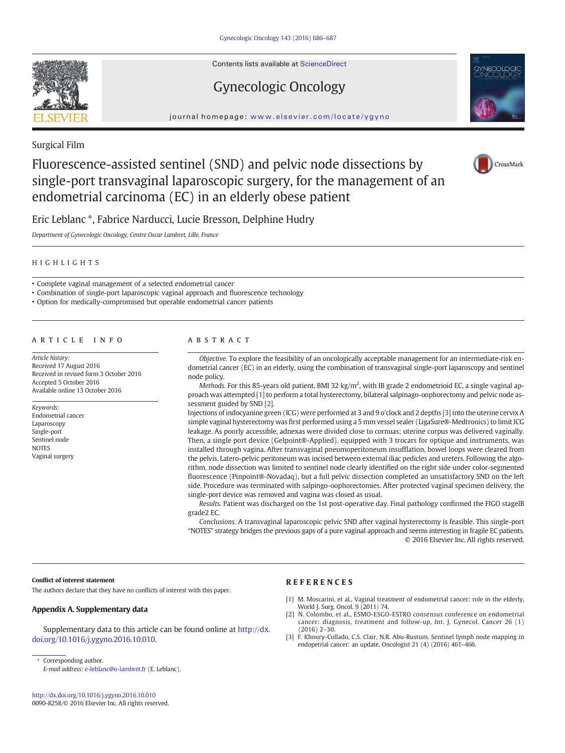Contents lists available at ScienceDirect

# Gynecologic Oncology





# Surgical Film

# Fluorescence-assisted sentinel (SND) and pelvic node dissections by single-port transvaginal laparoscopic surgery, for the management of an endometrial carcinoma (EC) in an elderly obese patient



Eric Leblanc ⁎, Fabrice Narducci, Lucie Bresson, Delphine Hudry

Department of Gynecologic Oncology, Centre Oscar Lambret, Lille, France

## HIGHLIGHTS

• Complete vaginal management of a selected endometrial cancer

• Combination of single-port laparoscopic vaginal approach and fluorescence technology

• Option for medically-compromised but operable endometrial cancer patients

# article info abstract

Article history: Received 17 August 2016 Received in revised form 3 October 2016 Accepted 5 October 2016 Available online 13 October 2016

Keywords: Endometrial cancer Laparoscopy Single-port Sentinel node **NOTES** Vaginal surgery

Objective. To explore the feasibility of an oncologically acceptable management for an intermediate-risk endometrial cancer (EC) in an elderly, using the combination of transvaginal single-port laparoscopy and sentinel node policy.

Methods. For this 85-years old patient, BMI 32 kg/m<sup>2</sup>, with IB grade 2 endometrioid EC, a single vaginal approach was attempted [1] to perform a total hysterectomy, bilateral salpinago-oophorectomy and pelvic node assessment guided by SND [2].

Injections of indocyanine green (ICG) were performed at 3 and 9 o'clock and 2 depths [3] into the uterine cervix A simple vaginal hysterectomy was first performed using a 5 mm vessel sealer (LigaSure®-Medtronics) to limit ICG leakage. As poorly accessible, adnexas were divided close to cornuas; uterine corpus was delivered vaginally. Then, a single port device (Gelpoint®-Applied), equipped with 3 trocars for optique and instruments, was installed through vagina. After transvaginal pneumoperitoneum insufflation, bowel loops were cleared from the pelvis. Latero-pelvic peritoneum was incised between external iliac pedicles and ureters. Following the algorithm, node dissection was limited to sentinel node clearly identified on the right side under color-segmented fluorescence (Pinpoint®-Novadaq), but a full pelvic dissection completed an unsatisfactory SND on the left side. Procedure was terminated with salpingo-oophorectomies. After protected vaginal specimen delivery, the single-port device was removed and vagina was closed as usual.

Results. Patient was discharged on the 1st post-operative day. Final pathology confirmed the FIGO stageIB grade2 EC.

Conclusions. A transvaginal laparoscopic pelvic SND after vaginal hysterectomy is feasible. This single-port "NOTES" strategy bridges the previous gaps of a pure vaginal approach and seems interesting in fragile EC patients. © 2016 Elsevier Inc. All rights reserved.

#### Conflict of interest statement

The authors declare that they have no conflicts of interest with this paper.

## Appendix A. Supplementary data

Supplementary data to this article can be found online at [http://dx.](doi:10.1016/j.ygyno.2016.10.010) [doi.org/10.1016/j.ygyno.2016.10.010](doi:10.1016/j.ygyno.2016.10.010).

⁎ Corresponding author.

E-mail address: [e-leblanc@o-lambret.fr](mailto:e-leblanc@o-lambret.fr) (E. Leblanc).

## REFERENCES

- [1] [M. Moscarini, et al., Vaginal treatment of endometrial cancer: role in the elderly,](http://refhub.elsevier.com/S0090-8258(16)31482-2/rf0005) [World J. Surg. Oncol. 9 \(2011\) 74.](http://refhub.elsevier.com/S0090-8258(16)31482-2/rf0005)
- [2] [N. Colombo, et al., ESMO-ESGO-ESTRO](http://refhub.elsevier.com/S0090-8258(16)31482-2/rf0010) consensus conference on endometrial [cancer: diagnosis, treatment and follow-up, Int. J. Gynecol. Cancer 26 \(1\)](http://refhub.elsevier.com/S0090-8258(16)31482-2/rf0010) [\(2016\) 2](http://refhub.elsevier.com/S0090-8258(16)31482-2/rf0010)–30.
- [3] [F. Khoury-Collado, C.S. Clair, N.R. Abu-Rustum, Sentinel lymph node mapping in](http://refhub.elsevier.com/S0090-8258(16)31482-2/rf0015) [endopetrial cancer: an update, Oncologist 21 \(4\) \(2016\) 461](http://refhub.elsevier.com/S0090-8258(16)31482-2/rf0015)–466.